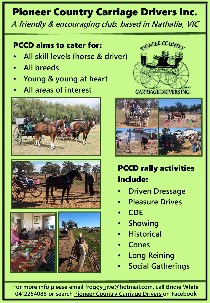## Pioneer Country Carriage Drivers Inc.

**A friendly & encouraging club, based in Nathalia, VIC**

## PCCD aims to cater for:

- **All skill levels (horse & driver)**
- **All breeds**
- **Young & young at heart**
- **All areas of interest**













PCCD rally activities include:

- **Driven Dressage**
- **Pleasure Drives**
- **CDE**
- **Showing**
- **Historical**
- **Cones**
- **Long Reining**
- **Social Gatherings**

**For more info please email froggy\_jive@hotmail.com, call Bridie White 0412254088 or search Pioneer Country Carriage Drivers on Facebook**